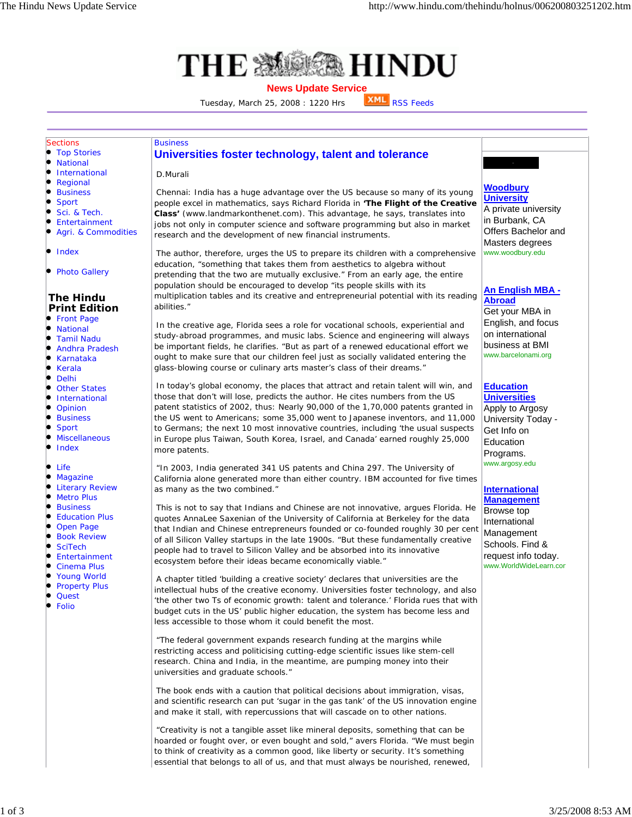$\bullet$  $\bullet$  $\bullet$  $\bullet$ l.

le

l.  $\bullet$  $\bullet$ b  $\bullet$ ۰ ò

 $\bullet$ 

b b o l.  $\bullet$ l. lo .

۰



## **News Update Service**

Tuesday, March 25, 2008 : 1220 Hrs **XML** RSS Feeds



"Creativity is not a tangible asset like mineral deposits, something that can be hoarded or fought over, or even bought and sold," avers Florida. "We must begin to think of creativity as a common good, like liberty or security. It's something essential that belongs to all of us, and that must always be nourished, renewed,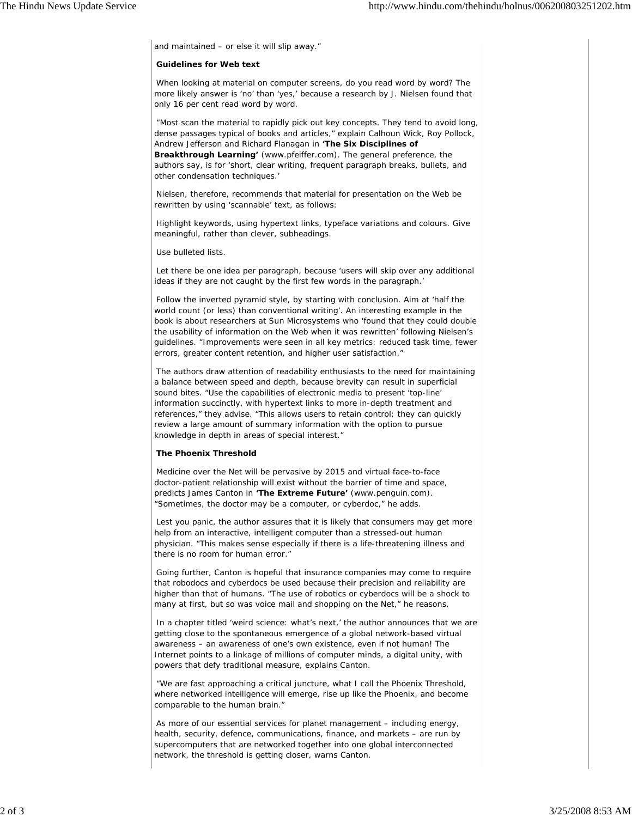and maintained – or else it will slip away."

## **Guidelines for Web text**

When looking at material on computer screens, do you read word by word? The more likely answer is 'no' than 'yes,' because a research by J. Nielsen found that only 16 per cent read word by word.

"Most scan the material to rapidly pick out key concepts. They tend to avoid long, dense passages typical of books and articles," explain Calhoun Wick, Roy Pollock, Andrew Jefferson and Richard Flanagan in **'The Six Disciplines of Breakthrough Learning'** (www.pfeiffer.com). The general preference, the authors say, is for 'short, clear writing, frequent paragraph breaks, bullets, and other condensation techniques.'

Nielsen, therefore, recommends that material for presentation on the Web be rewritten by using 'scannable' text, as follows:

Highlight keywords, using hypertext links, typeface variations and colours. Give meaningful, rather than clever, subheadings.

Use bulleted lists.

Let there be one idea per paragraph, because 'users will skip over any additional ideas if they are not caught by the first few words in the paragraph.'

Follow the inverted pyramid style, by starting with conclusion. Aim at 'half the world count (or less) than conventional writing'. An interesting example in the book is about researchers at Sun Microsystems who 'found that they could double the usability of information on the Web when it was rewritten' following Nielsen's guidelines. "Improvements were seen in all key metrics: reduced task time, fewer errors, greater content retention, and higher user satisfaction."

The authors draw attention of readability enthusiasts to the need for maintaining a balance between speed and depth, because brevity can result in superficial sound bites. "Use the capabilities of electronic media to present 'top-line' information succinctly, with hypertext links to more in-depth treatment and references," they advise. "This allows users to retain control; they can quickly review a large amount of summary information with the option to pursue knowledge in depth in areas of special interest."

## **The Phoenix Threshold**

Medicine over the Net will be pervasive by 2015 and virtual face-to-face doctor-patient relationship will exist without the barrier of time and space, predicts James Canton in **'The Extreme Future'** (www.penguin.com). "Sometimes, the doctor may be a computer, or cyberdoc," he adds.

Lest you panic, the author assures that it is likely that consumers may get more help from an interactive, intelligent computer than a stressed-out human physician. "This makes sense especially if there is a life-threatening illness and there is no room for human error."

Going further, Canton is hopeful that insurance companies may come to require that robodocs and cyberdocs be used because their precision and reliability are higher than that of humans. "The use of robotics or cyberdocs will be a shock to many at first, but so was voice mail and shopping on the Net," he reasons.

In a chapter titled 'weird science: what's next,' the author announces that we are getting close to the spontaneous emergence of a global network-based virtual awareness – an awareness of one's own existence, even if not human! The Internet points to a linkage of millions of computer minds, a digital unity, with powers that defy traditional measure, explains Canton.

"We are fast approaching a critical juncture, what I call the Phoenix Threshold, where networked intelligence will emerge, rise up like the Phoenix, and become comparable to the human brain."

As more of our essential services for planet management – including energy, health, security, defence, communications, finance, and markets – are run by supercomputers that are networked together into one global interconnected network, the threshold is getting closer, warns Canton.